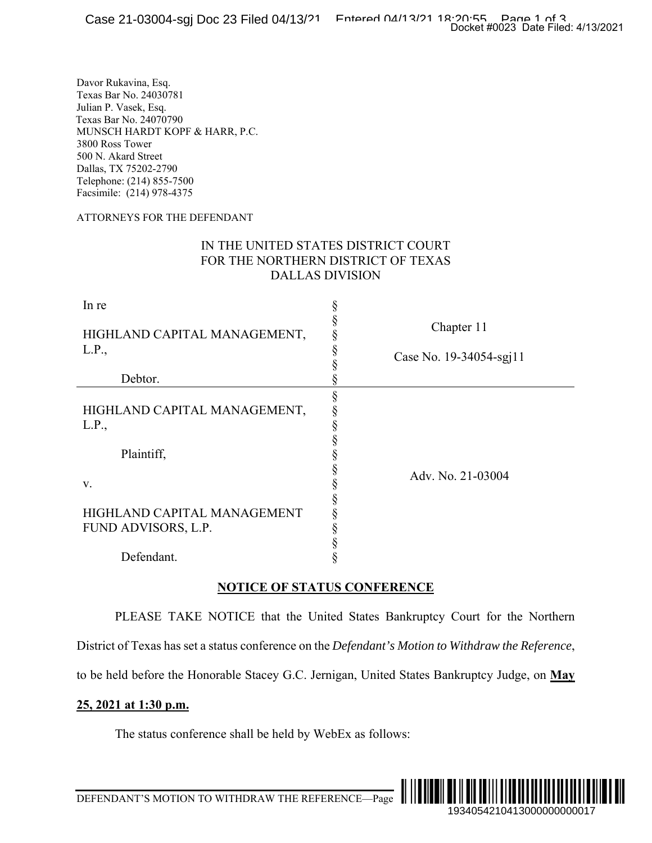#### ATTORNEYS FOR THE DEFENDANT

## IN THE UNITED STATES DISTRICT COURT FOR THE NORTHERN DISTRICT OF TEXAS DALLAS DIVISION

|                                                                                                                                                                                                                                                                  | Docket #0023 Date Filed: 4/13/2021                                                                         |
|------------------------------------------------------------------------------------------------------------------------------------------------------------------------------------------------------------------------------------------------------------------|------------------------------------------------------------------------------------------------------------|
| Davor Rukavina, Esq.<br>Texas Bar No. 24030781<br>Julian P. Vasek, Esq.<br>Fexas Bar No. 24070790<br>MUNSCH HARDT KOPF & HARR, P.C.<br>3800 Ross Tower<br>500 N. Akard Street<br>Dallas, TX 75202-2790<br>Telephone: (214) 855-7500<br>Facsimile: (214) 978-4375 |                                                                                                            |
| <b>ATTORNEYS FOR THE DEFENDANT</b>                                                                                                                                                                                                                               |                                                                                                            |
|                                                                                                                                                                                                                                                                  | IN THE UNITED STATES DISTRICT COURT<br>FOR THE NORTHERN DISTRICT OF TEXAS<br><b>DALLAS DIVISION</b>        |
| In re<br>HIGHLAND CAPITAL MANAGEMENT,<br>L.P.,                                                                                                                                                                                                                   | ş<br>Chapter 11<br>§<br>Case No. 19-34054-sgj11                                                            |
| Debtor.                                                                                                                                                                                                                                                          |                                                                                                            |
| HIGHLAND CAPITAL MANAGEMENT,<br>L.P.,<br>Plaintiff,                                                                                                                                                                                                              | §<br>§<br>§<br>§                                                                                           |
| V.<br>HIGHLAND CAPITAL MANAGEMENT<br>FUND ADVISORS, L.P.                                                                                                                                                                                                         | §<br>Adv. No. 21-03004<br>$\S$                                                                             |
| Defendant.                                                                                                                                                                                                                                                       | §<br>§<br>§<br>§                                                                                           |
|                                                                                                                                                                                                                                                                  | <b>NOTICE OF STATUS CONFERENCE</b>                                                                         |
|                                                                                                                                                                                                                                                                  | PLEASE TAKE NOTICE that the United States Bankruptcy Court for the Northern                                |
|                                                                                                                                                                                                                                                                  | District of Texas has set a status conference on the <i>Defendant's Motion to Withdraw the Reference</i> , |
|                                                                                                                                                                                                                                                                  | to be held before the Honorable Stacey G.C. Jernigan, United States Bankruptcy Judge, on May               |
| 25, 2021 at 1:30 p.m.                                                                                                                                                                                                                                            |                                                                                                            |
| The status conference shall be held by WebEx as follows:                                                                                                                                                                                                         |                                                                                                            |
|                                                                                                                                                                                                                                                                  |                                                                                                            |
|                                                                                                                                                                                                                                                                  | IIIIIIII<br>1934054210413000000000017                                                                      |

## **NOTICE OF STATUS CONFERENCE**

## **25, 2021 at 1:30 p.m.**



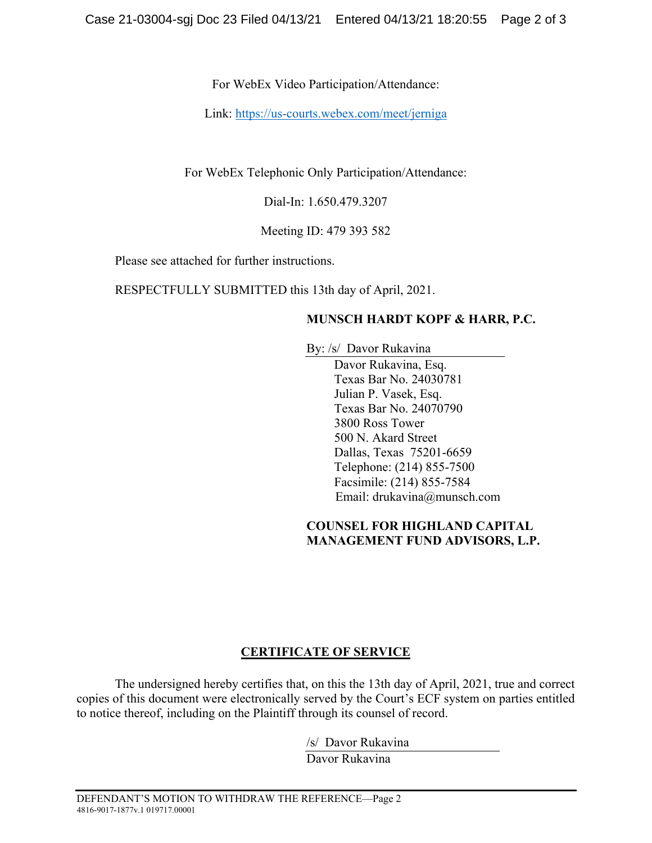For WebEx Video Participation/Attendance:

Link: https://us-courts.webex.com/meet/jerniga

For WebEx Telephonic Only Participation/Attendance:

Dial-In: 1.650.479.3207

Meeting ID: 479 393 582

Please see attached for further instructions.

RESPECTFULLY SUBMITTED this 13th day of April, 2021.

# **MUNSCH HARDT KOPF & HARR, P.C.**

By: /s/ Davor Rukavina

Davor Rukavina, Esq. Texas Bar No. 24030781 Julian P. Vasek, Esq. Texas Bar No. 24070790 3800 Ross Tower 500 N. Akard Street Dallas, Texas 75201-6659 Telephone: (214) 855-7500 Facsimile: (214) 855-7584 Email: drukavina@munsch.com

## **COUNSEL FOR HIGHLAND CAPITAL MANAGEMENT FUND ADVISORS, L.P.**

# **CERTIFICATE OF SERVICE**

The undersigned hereby certifies that, on this the 13th day of April, 2021, true and correct copies of this document were electronically served by the Court's ECF system on parties entitled to notice thereof, including on the Plaintiff through its counsel of record.

> /s/ Davor Rukavina Davor Rukavina